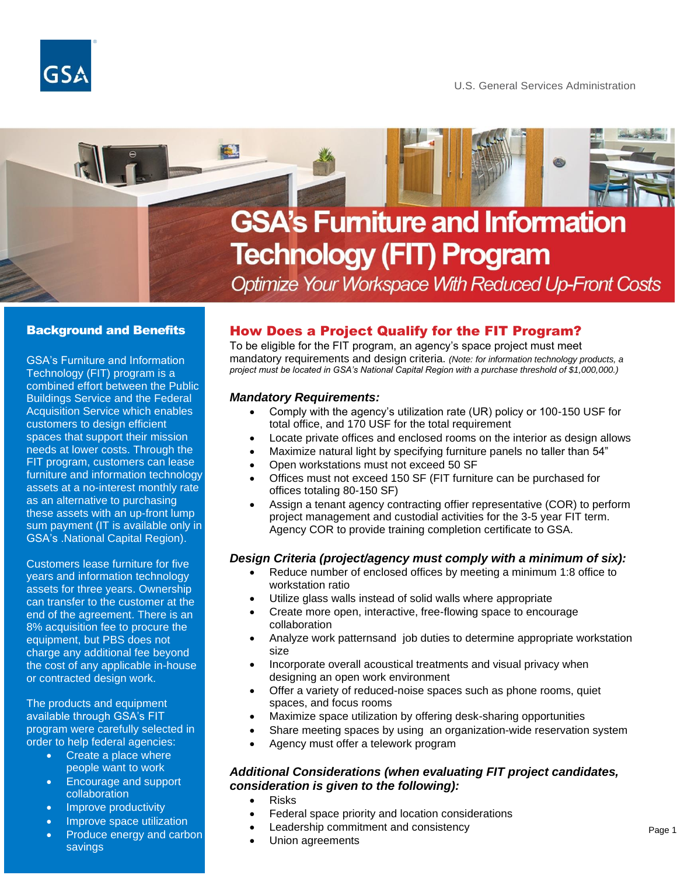



# **GSA's Furniture and Information Technology (FIT) Program**

Optimize Your Workspace With Reduced Up-Front Costs

### Background and Benefits

GSA's Furniture and Information Technology (FIT) program is a combined effort between the Public Buildings Service and the Federal Acquisition Service which enables customers to design efficient spaces that support their mission needs at lower costs. Through the FIT program, customers can lease furniture and information technology assets at a no-interest monthly rate as an alternative to purchasing these assets with an up-front lump sum payment (IT is available only in GSA's .National Capital Region).

Customers lease furniture for five years and information technology assets for three years. Ownership can transfer to the customer at the end of the agreement. There is an 8% acquisition fee to procure the equipment, but PBS does not charge any additional fee beyond the cost of any applicable in-house or contracted design work.

The products and equipment available through GSA's FIT program were carefully selected in order to help federal agencies:

- Create a place where people want to work
- Encourage and support collaboration
- Improve productivity
- Improve space utilization
- Produce energy and carbon savings

## How Does a Project Qualify for the FIT Program?

To be eligible for the FIT program, an agency's space project must meet mandatory requirements and design criteria. *(Note: for information technology products, a project must be located in GSA's National Capital Region with a purchase threshold of \$1,000,000.)*

#### *Mandatory Requirements:*

- Comply with the agency's utilization rate (UR) policy or 100-150 USF for total office, and 170 USF for the total requirement
- Locate private offices and enclosed rooms on the interior as design allows
- Maximize natural light by specifying furniture panels no taller than 54"
- Open workstations must not exceed 50 SF
- Offices must not exceed 150 SF (FIT furniture can be purchased for offices totaling 80-150 SF)
- Assign a tenant agency contracting offier representative (COR) to perform project management and custodial activities for the 3-5 year FIT term. Agency COR to provide training completion certificate to GSA.

#### *Design Criteria (project/agency must comply with a minimum of six):*

- Reduce number of enclosed offices by meeting a minimum 1:8 office to workstation ratio
- Utilize glass walls instead of solid walls where appropriate
- Create more open, interactive, free-flowing space to encourage collaboration
- Analyze work patternsand job duties to determine appropriate workstation size
- Incorporate overall acoustical treatments and visual privacy when designing an open work environment
- Offer a variety of reduced-noise spaces such as phone rooms, quiet spaces, and focus rooms
- Maximize space utilization by offering desk-sharing opportunities
- Share meeting spaces by using an organization-wide reservation system
- Agency must offer a telework program

#### *Additional Considerations (when evaluating FIT project candidates, consideration is given to the following):*

- Risks
- Federal space priority and location considerations
- Leadership commitment and consistency
- Union agreements